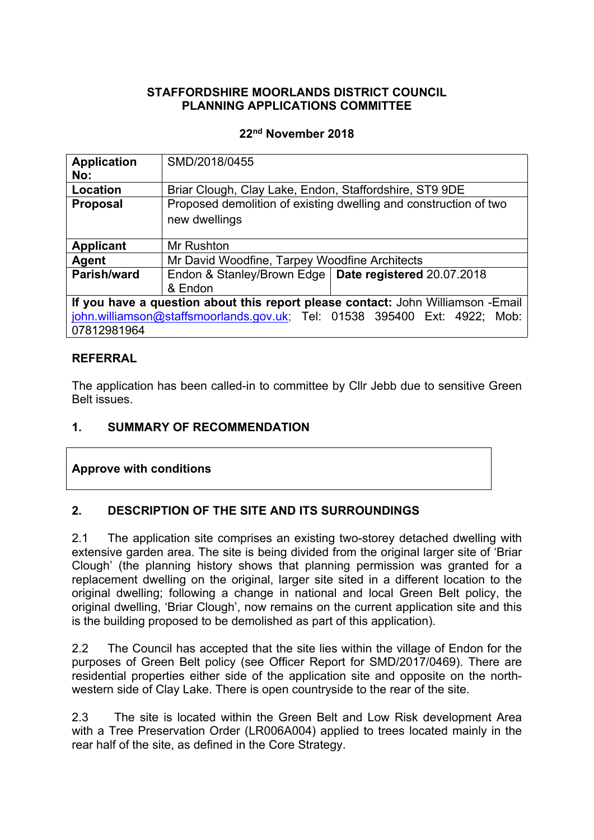### **STAFFORDSHIRE MOORLANDS DISTRICT COUNCIL PLANNING APPLICATIONS COMMITTEE**

### **22nd November 2018**

| SMD/2018/0455                                                                   |  |  |
|---------------------------------------------------------------------------------|--|--|
|                                                                                 |  |  |
| Briar Clough, Clay Lake, Endon, Staffordshire, ST9 9DE                          |  |  |
| Proposed demolition of existing dwelling and construction of two                |  |  |
| new dwellings                                                                   |  |  |
|                                                                                 |  |  |
| Mr Rushton                                                                      |  |  |
| Mr David Woodfine, Tarpey Woodfine Architects                                   |  |  |
| Endon & Stanley/Brown Edge   Date registered 20.07.2018                         |  |  |
| & Endon                                                                         |  |  |
| If you have a question about this report please contact: John Williamson -Email |  |  |
| john.williamson@staffsmoorlands.gov.uk; Tel: 01538 395400 Ext: 4922; Mob:       |  |  |
| 07812981964                                                                     |  |  |
|                                                                                 |  |  |

### **REFERRAL**

The application has been called-in to committee by Cllr Jebb due to sensitive Green Belt issues.

## **1. SUMMARY OF RECOMMENDATION**

## **Approve with conditions**

## **2. DESCRIPTION OF THE SITE AND ITS SURROUNDINGS**

2.1 The application site comprises an existing two-storey detached dwelling with extensive garden area. The site is being divided from the original larger site of 'Briar Clough' (the planning history shows that planning permission was granted for a replacement dwelling on the original, larger site sited in a different location to the original dwelling; following a change in national and local Green Belt policy, the original dwelling, 'Briar Clough', now remains on the current application site and this is the building proposed to be demolished as part of this application).

2.2 The Council has accepted that the site lies within the village of Endon for the purposes of Green Belt policy (see Officer Report for SMD/2017/0469). There are residential properties either side of the application site and opposite on the northwestern side of Clay Lake. There is open countryside to the rear of the site.

2.3 The site is located within the Green Belt and Low Risk development Area with a Tree Preservation Order (LR006A004) applied to trees located mainly in the rear half of the site, as defined in the Core Strategy.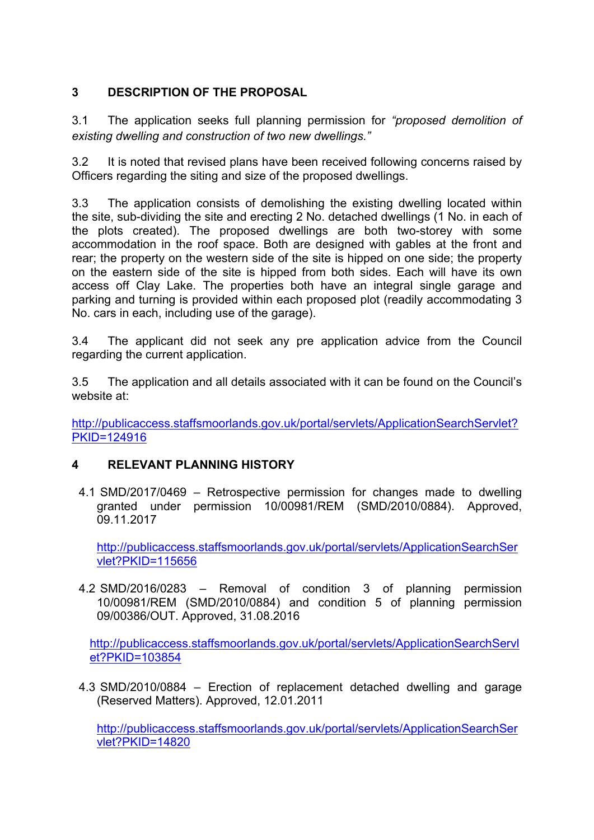# **3 DESCRIPTION OF THE PROPOSAL**

3.1 The application seeks full planning permission for *"proposed demolition of existing dwelling and construction of two new dwellings."*

3.2 It is noted that revised plans have been received following concerns raised by Officers regarding the siting and size of the proposed dwellings.

3.3 The application consists of demolishing the existing dwelling located within the site, sub-dividing the site and erecting 2 No. detached dwellings (1 No. in each of the plots created). The proposed dwellings are both two-storey with some accommodation in the roof space. Both are designed with gables at the front and rear; the property on the western side of the site is hipped on one side; the property on the eastern side of the site is hipped from both sides. Each will have its own access off Clay Lake. The properties both have an integral single garage and parking and turning is provided within each proposed plot (readily accommodating 3 No. cars in each, including use of the garage).

3.4 The applicant did not seek any pre application advice from the Council regarding the current application.

3.5 The application and all details associated with it can be found on the Council's website at:

[http://publicaccess.staffsmoorlands.gov.uk/portal/servlets/ApplicationSearchServlet?](http://publicaccess.staffsmoorlands.gov.uk/portal/servlets/ApplicationSearchServlet?PKID=124916) [PKID=124916](http://publicaccess.staffsmoorlands.gov.uk/portal/servlets/ApplicationSearchServlet?PKID=124916)

## **4 RELEVANT PLANNING HISTORY**

4.1 SMD/2017/0469 – Retrospective permission for changes made to dwelling granted under permission 10/00981/REM (SMD/2010/0884). Approved, 09.11.2017

[http://publicaccess.staffsmoorlands.gov.uk/portal/servlets/ApplicationSearchSer](http://publicaccess.staffsmoorlands.gov.uk/portal/servlets/ApplicationSearchServlet?PKID=115656) [vlet?PKID=115656](http://publicaccess.staffsmoorlands.gov.uk/portal/servlets/ApplicationSearchServlet?PKID=115656)

4.2 SMD/2016/0283 – Removal of condition 3 of planning permission 10/00981/REM (SMD/2010/0884) and condition 5 of planning permission 09/00386/OUT. Approved, 31.08.2016

[http://publicaccess.staffsmoorlands.gov.uk/portal/servlets/ApplicationSearchServl](http://publicaccess.staffsmoorlands.gov.uk/portal/servlets/ApplicationSearchServlet?PKID=103854) [et?PKID=103854](http://publicaccess.staffsmoorlands.gov.uk/portal/servlets/ApplicationSearchServlet?PKID=103854)

4.3 SMD/2010/0884 – Erection of replacement detached dwelling and garage (Reserved Matters). Approved, 12.01.2011

[http://publicaccess.staffsmoorlands.gov.uk/portal/servlets/ApplicationSearchSer](http://publicaccess.staffsmoorlands.gov.uk/portal/servlets/ApplicationSearchServlet?PKID=14820) [vlet?PKID=14820](http://publicaccess.staffsmoorlands.gov.uk/portal/servlets/ApplicationSearchServlet?PKID=14820)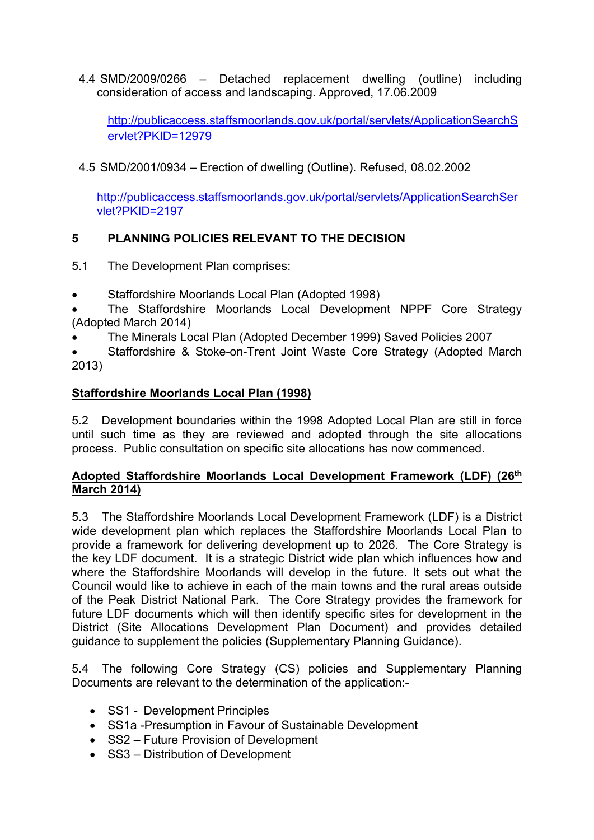4.4 SMD/2009/0266 – Detached replacement dwelling (outline) including consideration of access and landscaping. Approved, 17.06.2009

[http://publicaccess.staffsmoorlands.gov.uk/portal/servlets/ApplicationSearchS](http://publicaccess.staffsmoorlands.gov.uk/portal/servlets/ApplicationSearchServlet?PKID=12979) [ervlet?PKID=12979](http://publicaccess.staffsmoorlands.gov.uk/portal/servlets/ApplicationSearchServlet?PKID=12979)

4.5 SMD/2001/0934 – Erection of dwelling (Outline). Refused, 08.02.2002

[http://publicaccess.staffsmoorlands.gov.uk/portal/servlets/ApplicationSearchSer](http://publicaccess.staffsmoorlands.gov.uk/portal/servlets/ApplicationSearchServlet?PKID=2197) [vlet?PKID=2197](http://publicaccess.staffsmoorlands.gov.uk/portal/servlets/ApplicationSearchServlet?PKID=2197)

# **5 PLANNING POLICIES RELEVANT TO THE DECISION**

- 5.1 The Development Plan comprises:
- Staffordshire Moorlands Local Plan (Adopted 1998)
- The Staffordshire Moorlands Local Development NPPF Core Strategy (Adopted March 2014)
- The Minerals Local Plan (Adopted December 1999) Saved Policies 2007

 Staffordshire & Stoke-on-Trent Joint Waste Core Strategy (Adopted March 2013)

### **Staffordshire Moorlands Local Plan (1998)**

5.2 Development boundaries within the 1998 Adopted Local Plan are still in force until such time as they are reviewed and adopted through the site allocations process. Public consultation on specific site allocations has now commenced.

### **Adopted Staffordshire Moorlands Local Development Framework (LDF) (26th March 2014)**

5.3 The Staffordshire Moorlands Local Development Framework (LDF) is a District wide development plan which replaces the Staffordshire Moorlands Local Plan to provide a framework for delivering development up to 2026. The Core Strategy is the key LDF document. It is a strategic District wide plan which influences how and where the Staffordshire Moorlands will develop in the future. It sets out what the Council would like to achieve in each of the main towns and the rural areas outside of the Peak District National Park. The Core Strategy provides the framework for future LDF documents which will then identify specific sites for development in the District (Site Allocations Development Plan Document) and provides detailed guidance to supplement the policies (Supplementary Planning Guidance).

5.4 The following Core Strategy (CS) policies and Supplementary Planning Documents are relevant to the determination of the application:-

- SS1 Development Principles
- SS1a -Presumption in Favour of Sustainable Development
- SS2 Future Provision of Development
- SS3 Distribution of Development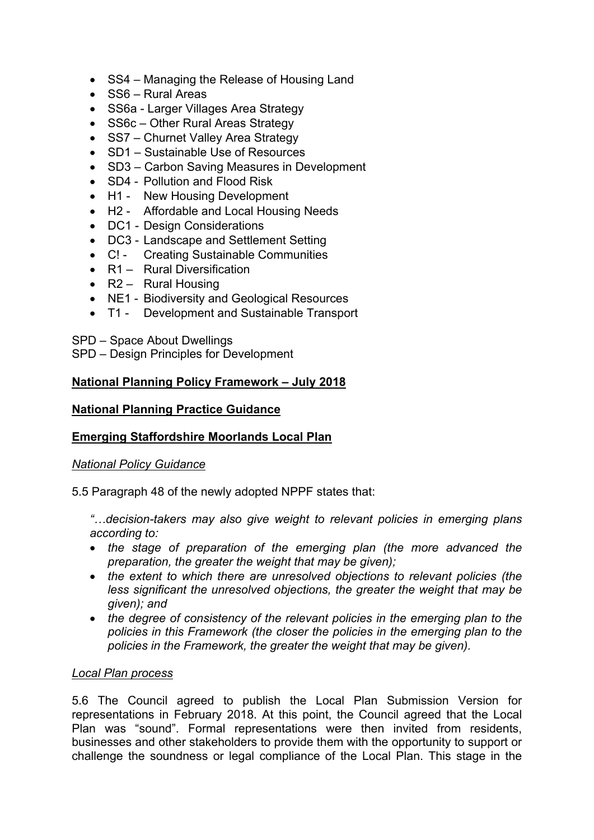- SS4 Managing the Release of Housing Land
- SS6 Rural Areas
- SS6a Larger Villages Area Strategy
- SS6c Other Rural Areas Strategy
- SS7 Churnet Valley Area Strategy
- SD1 Sustainable Use of Resources
- SD3 Carbon Saving Measures in Development
- SD4 Pollution and Flood Risk
- H1 New Housing Development
- H2 Affordable and Local Housing Needs
- DC1 Design Considerations
- DC3 Landscape and Settlement Setting
- C! Creating Sustainable Communities
- R1 Rural Diversification
- $\cdot$  R2 Rural Housing
- NE1 Biodiversity and Geological Resources
- T1 Development and Sustainable Transport

SPD – Space About Dwellings

SPD – Design Principles for Development

### **National Planning Policy Framework – July 2018**

### **National Planning Practice Guidance**

### **Emerging Staffordshire Moorlands Local Plan**

### *National Policy Guidance*

5.5 Paragraph 48 of the newly adopted NPPF states that:

*"…decision-takers may also give weight to relevant policies in emerging plans according to:*

- *the stage of preparation of the emerging plan (the more advanced the preparation, the greater the weight that may be given);*
- *the extent to which there are unresolved objections to relevant policies (the less significant the unresolved objections, the greater the weight that may be given); and*
- *the degree of consistency of the relevant policies in the emerging plan to the policies in this Framework (the closer the policies in the emerging plan to the policies in the Framework, the greater the weight that may be given).*

### *Local Plan process*

5.6 The Council agreed to publish the Local Plan Submission Version for representations in February 2018. At this point, the Council agreed that the Local Plan was "sound". Formal representations were then invited from residents, businesses and other stakeholders to provide them with the opportunity to support or challenge the soundness or legal compliance of the Local Plan. This stage in the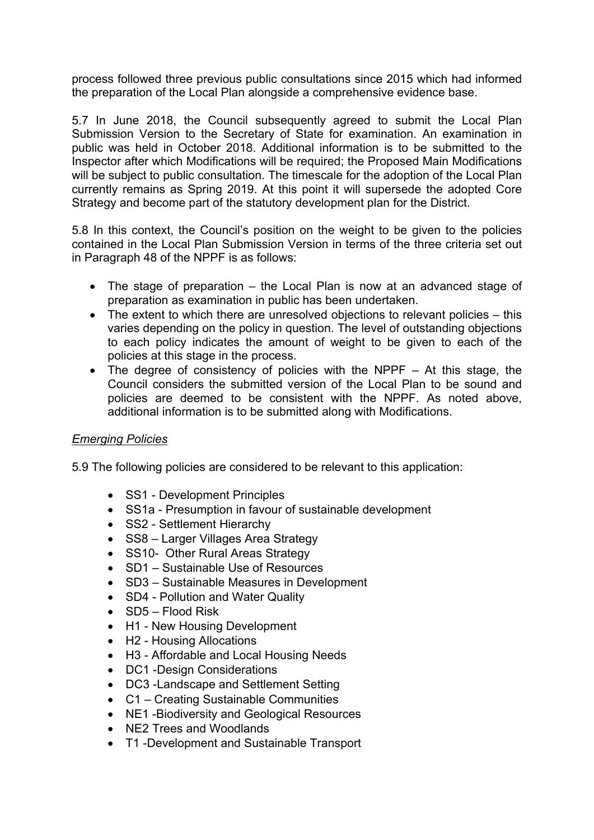process followed three previous public consultations since 2015 which had informed the preparation of the Local Plan alongside a comprehensive evidence base.

5.7 In June 2018, the Council subsequently agreed to submit the Local Plan Submission Version to the Secretary of State for examination. An examination in public was held in October 2018. Additional information is to be submitted to the Inspector after which Modifications will be required; the Proposed Main Modifications will be subject to public consultation. The timescale for the adoption of the Local Plan currently remains as Spring 2019. At this point it will supersede the adopted Core Strategy and become part of the statutory development plan for the District.

5.8 In this context, the Council's position on the weight to be given to the policies contained in the Local Plan Submission Version in terms of the three criteria set out in Paragraph 48 of the NPPF is as follows:

- The stage of preparation the Local Plan is now at an advanced stage of preparation as examination in public has been undertaken.
- The extent to which there are unresolved objections to relevant policies this varies depending on the policy in question. The level of outstanding objections to each policy indicates the amount of weight to be given to each of the policies at this stage in the process.
- The degree of consistency of policies with the NPPF At this stage, the Council considers the submitted version of the Local Plan to be sound and policies are deemed to be consistent with the NPPF. As noted above, additional information is to be submitted along with Modifications.

### *Emerging Policies*

5.9 The following policies are considered to be relevant to this application:

- SS1 Development Principles
- SS1a Presumption in favour of sustainable development
- SS2 Settlement Hierarchy
- SS8 Larger Villages Area Strategy
- SS10- Other Rural Areas Strategy
- SD1 Sustainable Use of Resources
- SD3 Sustainable Measures in Development
- SD4 Pollution and Water Quality
- SD5 Flood Risk
- H1 New Housing Development
- H2 Housing Allocations
- H3 Affordable and Local Housing Needs
- DC1 -Design Considerations
- DC3 -Landscape and Settlement Setting
- C1 Creating Sustainable Communities
- NE1 Biodiversity and Geological Resources
- NE2 Trees and Woodlands
- T1 -Development and Sustainable Transport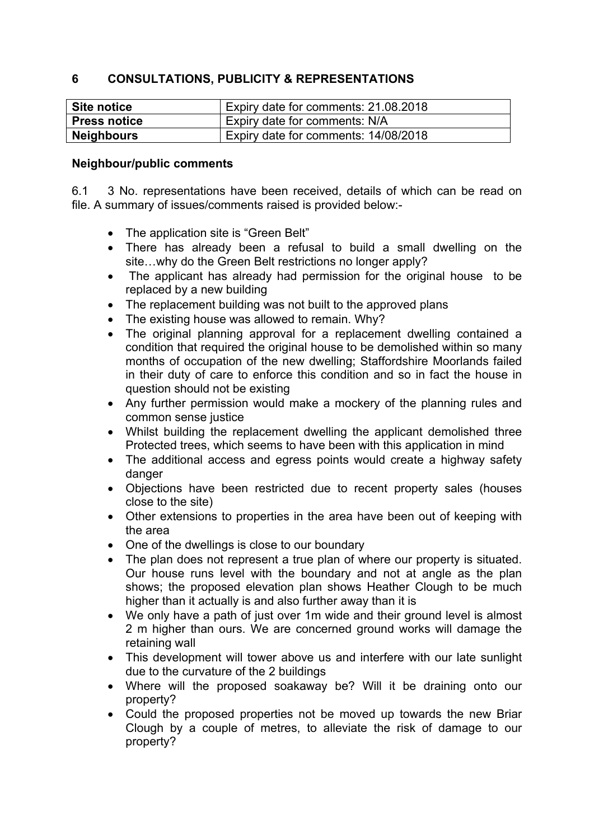## **6 CONSULTATIONS, PUBLICITY & REPRESENTATIONS**

| Site notice         | Expiry date for comments: 21.08.2018 |
|---------------------|--------------------------------------|
| <b>Press notice</b> | Expiry date for comments: N/A        |
| <b>Neighbours</b>   | Expiry date for comments: 14/08/2018 |

### **Neighbour/public comments**

6.1 3 No. representations have been received, details of which can be read on file. A summary of issues/comments raised is provided below:-

- The application site is "Green Belt"
- There has already been a refusal to build a small dwelling on the site…why do the Green Belt restrictions no longer apply?
- The applicant has already had permission for the original house to be replaced by a new building
- The replacement building was not built to the approved plans
- The existing house was allowed to remain. Why?
- The original planning approval for a replacement dwelling contained a condition that required the original house to be demolished within so many months of occupation of the new dwelling; Staffordshire Moorlands failed in their duty of care to enforce this condition and so in fact the house in question should not be existing
- Any further permission would make a mockery of the planning rules and common sense justice
- Whilst building the replacement dwelling the applicant demolished three Protected trees, which seems to have been with this application in mind
- The additional access and egress points would create a highway safety danger
- Objections have been restricted due to recent property sales (houses close to the site)
- Other extensions to properties in the area have been out of keeping with the area
- One of the dwellings is close to our boundary
- The plan does not represent a true plan of where our property is situated. Our house runs level with the boundary and not at angle as the plan shows; the proposed elevation plan shows Heather Clough to be much higher than it actually is and also further away than it is
- We only have a path of just over 1m wide and their ground level is almost 2 m higher than ours. We are concerned ground works will damage the retaining wall
- This development will tower above us and interfere with our late sunlight due to the curvature of the 2 buildings
- Where will the proposed soakaway be? Will it be draining onto our property?
- Could the proposed properties not be moved up towards the new Briar Clough by a couple of metres, to alleviate the risk of damage to our property?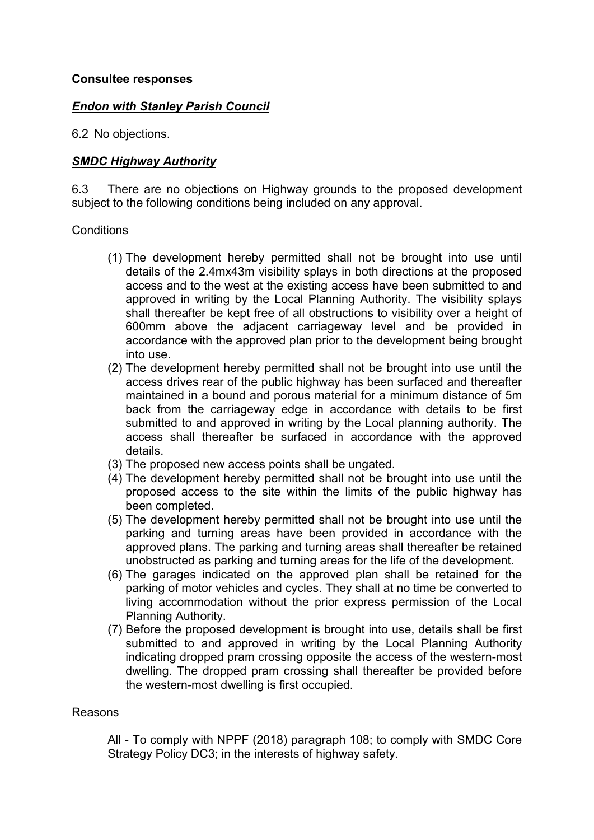### *Endon with Stanley Parish Council*

6.2 No objections.

### *SMDC Highway Authority*

6.3 There are no objections on Highway grounds to the proposed development subject to the following conditions being included on any approval.

#### **Conditions**

- (1) The development hereby permitted shall not be brought into use until details of the 2.4mx43m visibility splays in both directions at the proposed access and to the west at the existing access have been submitted to and approved in writing by the Local Planning Authority. The visibility splays shall thereafter be kept free of all obstructions to visibility over a height of 600mm above the adjacent carriageway level and be provided in accordance with the approved plan prior to the development being brought into use.
- (2) The development hereby permitted shall not be brought into use until the access drives rear of the public highway has been surfaced and thereafter maintained in a bound and porous material for a minimum distance of 5m back from the carriageway edge in accordance with details to be first submitted to and approved in writing by the Local planning authority. The access shall thereafter be surfaced in accordance with the approved details.
- (3) The proposed new access points shall be ungated.
- (4) The development hereby permitted shall not be brought into use until the proposed access to the site within the limits of the public highway has been completed.
- (5) The development hereby permitted shall not be brought into use until the parking and turning areas have been provided in accordance with the approved plans. The parking and turning areas shall thereafter be retained unobstructed as parking and turning areas for the life of the development.
- (6) The garages indicated on the approved plan shall be retained for the parking of motor vehicles and cycles. They shall at no time be converted to living accommodation without the prior express permission of the Local Planning Authority.
- (7) Before the proposed development is brought into use, details shall be first submitted to and approved in writing by the Local Planning Authority indicating dropped pram crossing opposite the access of the western-most dwelling. The dropped pram crossing shall thereafter be provided before the western-most dwelling is first occupied.

### Reasons

All - To comply with NPPF (2018) paragraph 108; to comply with SMDC Core Strategy Policy DC3; in the interests of highway safety.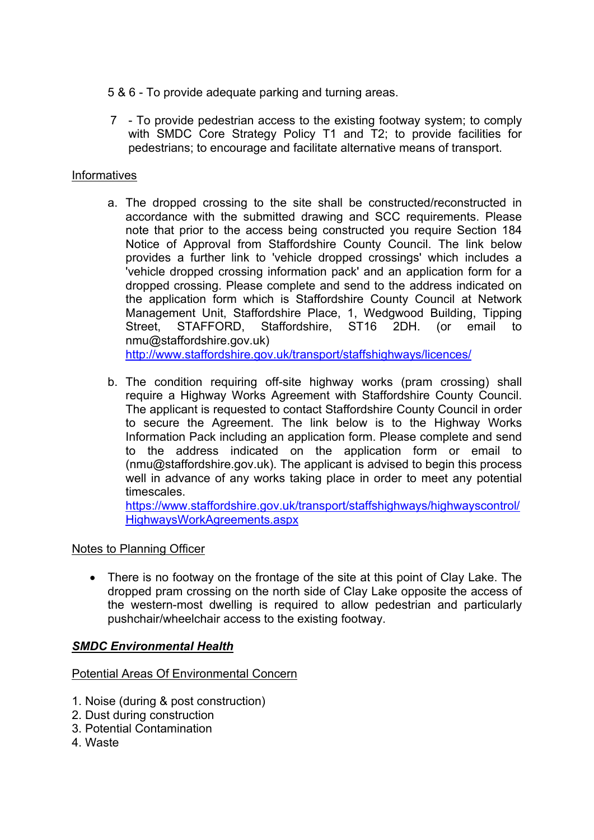5 & 6 - To provide adequate parking and turning areas.

7 - To provide pedestrian access to the existing footway system; to comply with SMDC Core Strategy Policy T1 and T2; to provide facilities for pedestrians; to encourage and facilitate alternative means of transport.

### Informatives

a. The dropped crossing to the site shall be constructed/reconstructed in accordance with the submitted drawing and SCC requirements. Please note that prior to the access being constructed you require Section 184 Notice of Approval from Staffordshire County Council. The link below provides a further link to 'vehicle dropped crossings' which includes a 'vehicle dropped crossing information pack' and an application form for a dropped crossing. Please complete and send to the address indicated on the application form which is Staffordshire County Council at Network Management Unit, Staffordshire Place, 1, Wedgwood Building, Tipping Street, STAFFORD, Staffordshire, ST16 2DH. (or email to nmu@staffordshire.gov.uk) <http://www.staffordshire.gov.uk/transport/staffshighways/licences/>

b. The condition requiring off-site highway works (pram crossing) shall require a Highway Works Agreement with Staffordshire County Council. The applicant is requested to contact Staffordshire County Council in order to secure the Agreement. The link below is to the Highway Works

Information Pack including an application form. Please complete and send to the address indicated on the application form or email to (nmu@staffordshire.gov.uk). The applicant is advised to begin this process well in advance of any works taking place in order to meet any potential timescales.

[https://www.staffordshire.gov.uk/transport/staffshighways/highwayscontrol/](https://www.staffordshire.gov.uk/transport/staffshighways/highwayscontrol/HighwaysWorkAgreements.aspx) [HighwaysWorkAgreements.aspx](https://www.staffordshire.gov.uk/transport/staffshighways/highwayscontrol/HighwaysWorkAgreements.aspx)

### Notes to Planning Officer

• There is no footway on the frontage of the site at this point of Clay Lake. The dropped pram crossing on the north side of Clay Lake opposite the access of the western-most dwelling is required to allow pedestrian and particularly pushchair/wheelchair access to the existing footway.

### *SMDC Environmental Health*

Potential Areas Of Environmental Concern

- 1. Noise (during & post construction)
- 2. Dust during construction
- 3. Potential Contamination
- 4. Waste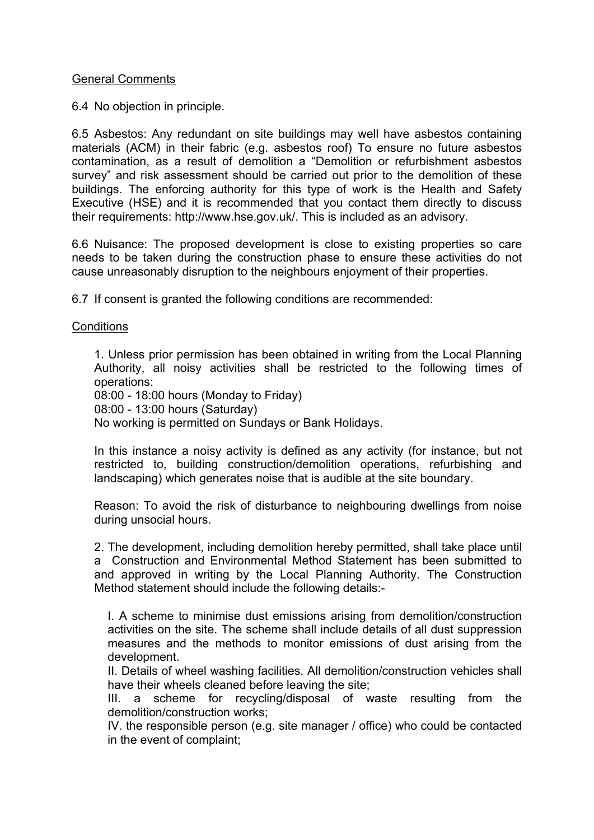#### General Comments

6.4 No objection in principle.

6.5 Asbestos: Any redundant on site buildings may well have asbestos containing materials (ACM) in their fabric (e.g. asbestos roof) To ensure no future asbestos contamination, as a result of demolition a "Demolition or refurbishment asbestos survey" and risk assessment should be carried out prior to the demolition of these buildings. The enforcing authority for this type of work is the Health and Safety Executive (HSE) and it is recommended that you contact them directly to discuss their requirements: http://www.hse.gov.uk/. This is included as an advisory.

6.6 Nuisance: The proposed development is close to existing properties so care needs to be taken during the construction phase to ensure these activities do not cause unreasonably disruption to the neighbours enjoyment of their properties.

6.7 If consent is granted the following conditions are recommended:

#### **Conditions**

1. Unless prior permission has been obtained in writing from the Local Planning Authority, all noisy activities shall be restricted to the following times of operations:

08:00 - 18:00 hours (Monday to Friday)

08:00 - 13:00 hours (Saturday)

No working is permitted on Sundays or Bank Holidays.

In this instance a noisy activity is defined as any activity (for instance, but not restricted to, building construction/demolition operations, refurbishing and landscaping) which generates noise that is audible at the site boundary.

Reason: To avoid the risk of disturbance to neighbouring dwellings from noise during unsocial hours.

2. The development, including demolition hereby permitted, shall take place until a Construction and Environmental Method Statement has been submitted to and approved in writing by the Local Planning Authority. The Construction Method statement should include the following details:-

I. A scheme to minimise dust emissions arising from demolition/construction activities on the site. The scheme shall include details of all dust suppression measures and the methods to monitor emissions of dust arising from the development.

II. Details of wheel washing facilities. All demolition/construction vehicles shall have their wheels cleaned before leaving the site;

III. a scheme for recycling/disposal of waste resulting from the demolition/construction works;

IV. the responsible person (e.g. site manager / office) who could be contacted in the event of complaint;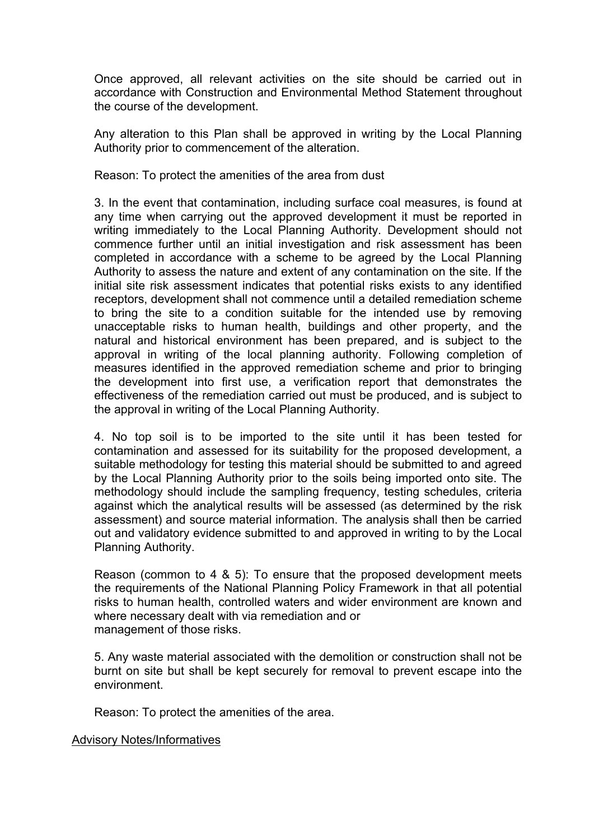Once approved, all relevant activities on the site should be carried out in accordance with Construction and Environmental Method Statement throughout the course of the development.

Any alteration to this Plan shall be approved in writing by the Local Planning Authority prior to commencement of the alteration.

Reason: To protect the amenities of the area from dust

3. In the event that contamination, including surface coal measures, is found at any time when carrying out the approved development it must be reported in writing immediately to the Local Planning Authority. Development should not commence further until an initial investigation and risk assessment has been completed in accordance with a scheme to be agreed by the Local Planning Authority to assess the nature and extent of any contamination on the site. If the initial site risk assessment indicates that potential risks exists to any identified receptors, development shall not commence until a detailed remediation scheme to bring the site to a condition suitable for the intended use by removing unacceptable risks to human health, buildings and other property, and the natural and historical environment has been prepared, and is subject to the approval in writing of the local planning authority. Following completion of measures identified in the approved remediation scheme and prior to bringing the development into first use, a verification report that demonstrates the effectiveness of the remediation carried out must be produced, and is subject to the approval in writing of the Local Planning Authority.

4. No top soil is to be imported to the site until it has been tested for contamination and assessed for its suitability for the proposed development, a suitable methodology for testing this material should be submitted to and agreed by the Local Planning Authority prior to the soils being imported onto site. The methodology should include the sampling frequency, testing schedules, criteria against which the analytical results will be assessed (as determined by the risk assessment) and source material information. The analysis shall then be carried out and validatory evidence submitted to and approved in writing to by the Local Planning Authority.

Reason (common to 4 & 5): To ensure that the proposed development meets the requirements of the National Planning Policy Framework in that all potential risks to human health, controlled waters and wider environment are known and where necessary dealt with via remediation and or management of those risks.

5. Any waste material associated with the demolition or construction shall not be burnt on site but shall be kept securely for removal to prevent escape into the environment.

Reason: To protect the amenities of the area.

Advisory Notes/Informatives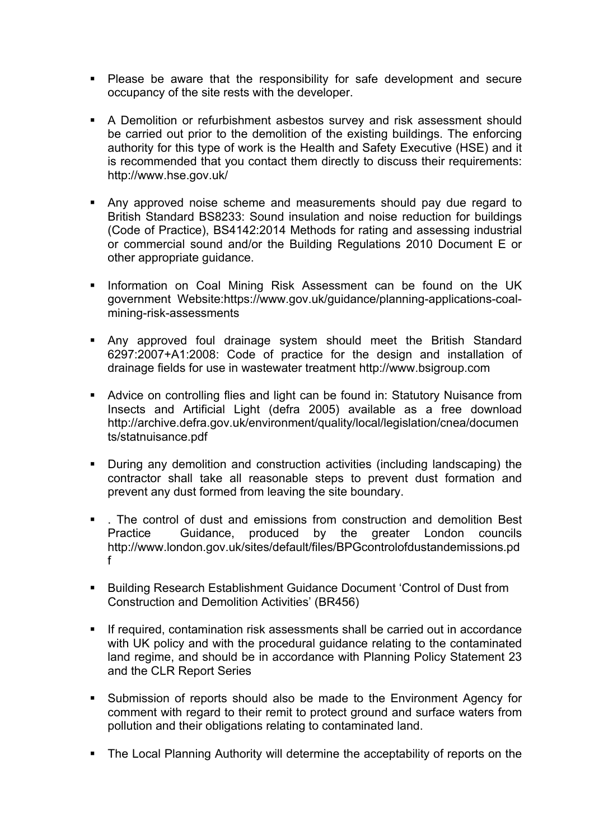- Please be aware that the responsibility for safe development and secure occupancy of the site rests with the developer.
- A Demolition or refurbishment asbestos survey and risk assessment should be carried out prior to the demolition of the existing buildings. The enforcing authority for this type of work is the Health and Safety Executive (HSE) and it is recommended that you contact them directly to discuss their requirements: http://www.hse.gov.uk/
- Any approved noise scheme and measurements should pay due regard to British Standard BS8233: Sound insulation and noise reduction for buildings (Code of Practice), BS4142:2014 Methods for rating and assessing industrial or commercial sound and/or the Building Regulations 2010 Document E or other appropriate guidance.
- **Information on Coal Mining Risk Assessment can be found on the UK** government Website:https://www.gov.uk/guidance/planning-applications-coalmining-risk-assessments
- Any approved foul drainage system should meet the British Standard 6297:2007+A1:2008: Code of practice for the design and installation of drainage fields for use in wastewater treatment http://www.bsigroup.com
- Advice on controlling flies and light can be found in: Statutory Nuisance from Insects and Artificial Light (defra 2005) available as a free download http://archive.defra.gov.uk/environment/quality/local/legislation/cnea/documen ts/statnuisance.pdf
- During any demolition and construction activities (including landscaping) the contractor shall take all reasonable steps to prevent dust formation and prevent any dust formed from leaving the site boundary.
- The control of dust and emissions from construction and demolition Best Practice Guidance, produced by the greater London councils http://www.london.gov.uk/sites/default/files/BPGcontrolofdustandemissions.pd f
- Building Research Establishment Guidance Document 'Control of Dust from Construction and Demolition Activities' (BR456)
- If required, contamination risk assessments shall be carried out in accordance with UK policy and with the procedural guidance relating to the contaminated land regime, and should be in accordance with Planning Policy Statement 23 and the CLR Report Series
- Submission of reports should also be made to the Environment Agency for comment with regard to their remit to protect ground and surface waters from pollution and their obligations relating to contaminated land.
- The Local Planning Authority will determine the acceptability of reports on the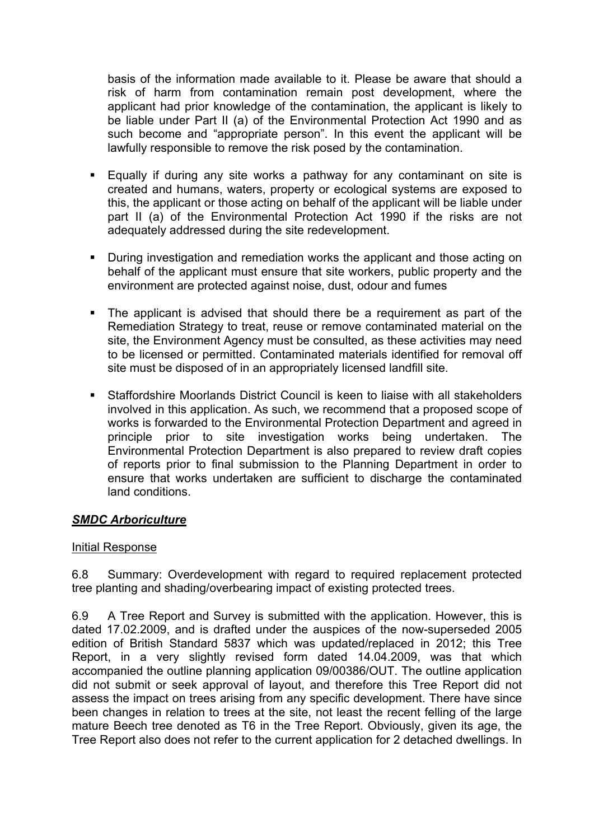basis of the information made available to it. Please be aware that should a risk of harm from contamination remain post development, where the applicant had prior knowledge of the contamination, the applicant is likely to be liable under Part II (a) of the Environmental Protection Act 1990 and as such become and "appropriate person". In this event the applicant will be lawfully responsible to remove the risk posed by the contamination.

- Equally if during any site works a pathway for any contaminant on site is created and humans, waters, property or ecological systems are exposed to this, the applicant or those acting on behalf of the applicant will be liable under part II (a) of the Environmental Protection Act 1990 if the risks are not adequately addressed during the site redevelopment.
- During investigation and remediation works the applicant and those acting on behalf of the applicant must ensure that site workers, public property and the environment are protected against noise, dust, odour and fumes
- The applicant is advised that should there be a requirement as part of the Remediation Strategy to treat, reuse or remove contaminated material on the site, the Environment Agency must be consulted, as these activities may need to be licensed or permitted. Contaminated materials identified for removal off site must be disposed of in an appropriately licensed landfill site.
- Staffordshire Moorlands District Council is keen to liaise with all stakeholders involved in this application. As such, we recommend that a proposed scope of works is forwarded to the Environmental Protection Department and agreed in principle prior to site investigation works being undertaken. The Environmental Protection Department is also prepared to review draft copies of reports prior to final submission to the Planning Department in order to ensure that works undertaken are sufficient to discharge the contaminated land conditions.

### *SMDC Arboriculture*

### Initial Response

6.8 Summary: Overdevelopment with regard to required replacement protected tree planting and shading/overbearing impact of existing protected trees.

6.9 A Tree Report and Survey is submitted with the application. However, this is dated 17.02.2009, and is drafted under the auspices of the now-superseded 2005 edition of British Standard 5837 which was updated/replaced in 2012; this Tree Report, in a very slightly revised form dated 14.04.2009, was that which accompanied the outline planning application 09/00386/OUT. The outline application did not submit or seek approval of layout, and therefore this Tree Report did not assess the impact on trees arising from any specific development. There have since been changes in relation to trees at the site, not least the recent felling of the large mature Beech tree denoted as T6 in the Tree Report. Obviously, given its age, the Tree Report also does not refer to the current application for 2 detached dwellings. In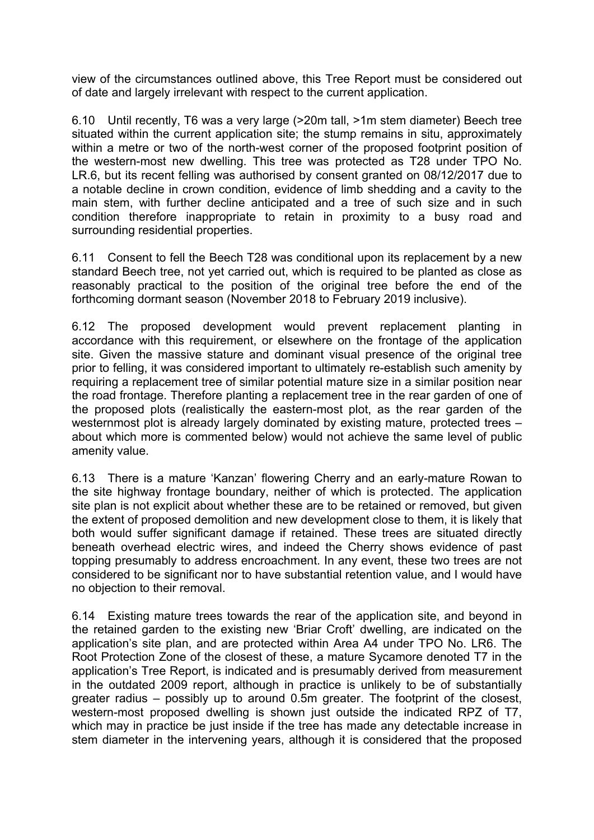view of the circumstances outlined above, this Tree Report must be considered out of date and largely irrelevant with respect to the current application.

6.10 Until recently, T6 was a very large (>20m tall, >1m stem diameter) Beech tree situated within the current application site; the stump remains in situ, approximately within a metre or two of the north-west corner of the proposed footprint position of the western-most new dwelling. This tree was protected as T28 under TPO No. LR.6, but its recent felling was authorised by consent granted on 08/12/2017 due to a notable decline in crown condition, evidence of limb shedding and a cavity to the main stem, with further decline anticipated and a tree of such size and in such condition therefore inappropriate to retain in proximity to a busy road and surrounding residential properties.

6.11 Consent to fell the Beech T28 was conditional upon its replacement by a new standard Beech tree, not yet carried out, which is required to be planted as close as reasonably practical to the position of the original tree before the end of the forthcoming dormant season (November 2018 to February 2019 inclusive).

6.12 The proposed development would prevent replacement planting in accordance with this requirement, or elsewhere on the frontage of the application site. Given the massive stature and dominant visual presence of the original tree prior to felling, it was considered important to ultimately re-establish such amenity by requiring a replacement tree of similar potential mature size in a similar position near the road frontage. Therefore planting a replacement tree in the rear garden of one of the proposed plots (realistically the eastern-most plot, as the rear garden of the westernmost plot is already largely dominated by existing mature, protected trees – about which more is commented below) would not achieve the same level of public amenity value.

6.13 There is a mature 'Kanzan' flowering Cherry and an early-mature Rowan to the site highway frontage boundary, neither of which is protected. The application site plan is not explicit about whether these are to be retained or removed, but given the extent of proposed demolition and new development close to them, it is likely that both would suffer significant damage if retained. These trees are situated directly beneath overhead electric wires, and indeed the Cherry shows evidence of past topping presumably to address encroachment. In any event, these two trees are not considered to be significant nor to have substantial retention value, and I would have no objection to their removal.

6.14 Existing mature trees towards the rear of the application site, and beyond in the retained garden to the existing new 'Briar Croft' dwelling, are indicated on the application's site plan, and are protected within Area A4 under TPO No. LR6. The Root Protection Zone of the closest of these, a mature Sycamore denoted T7 in the application's Tree Report, is indicated and is presumably derived from measurement in the outdated 2009 report, although in practice is unlikely to be of substantially greater radius – possibly up to around 0.5m greater. The footprint of the closest, western-most proposed dwelling is shown just outside the indicated RPZ of T7, which may in practice be just inside if the tree has made any detectable increase in stem diameter in the intervening years, although it is considered that the proposed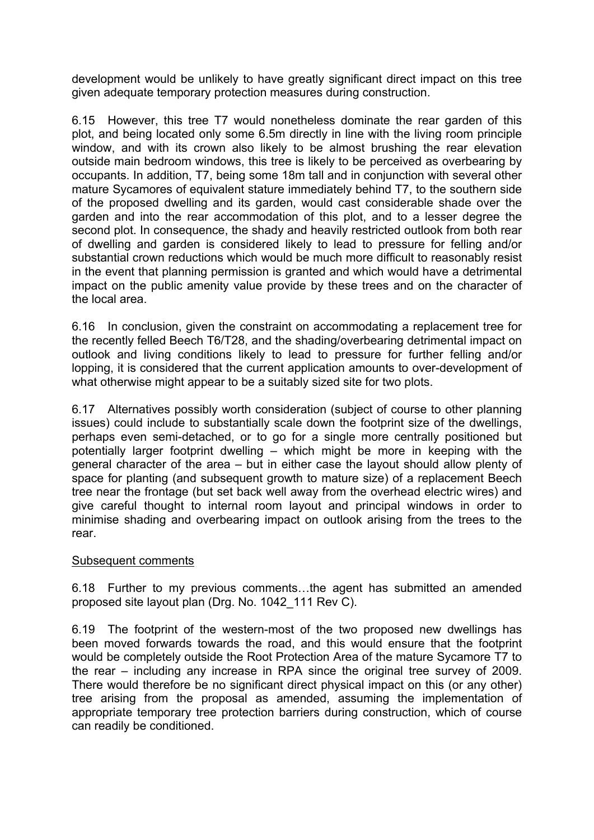development would be unlikely to have greatly significant direct impact on this tree given adequate temporary protection measures during construction.

6.15 However, this tree T7 would nonetheless dominate the rear garden of this plot, and being located only some 6.5m directly in line with the living room principle window, and with its crown also likely to be almost brushing the rear elevation outside main bedroom windows, this tree is likely to be perceived as overbearing by occupants. In addition, T7, being some 18m tall and in conjunction with several other mature Sycamores of equivalent stature immediately behind T7, to the southern side of the proposed dwelling and its garden, would cast considerable shade over the garden and into the rear accommodation of this plot, and to a lesser degree the second plot. In consequence, the shady and heavily restricted outlook from both rear of dwelling and garden is considered likely to lead to pressure for felling and/or substantial crown reductions which would be much more difficult to reasonably resist in the event that planning permission is granted and which would have a detrimental impact on the public amenity value provide by these trees and on the character of the local area.

6.16 In conclusion, given the constraint on accommodating a replacement tree for the recently felled Beech T6/T28, and the shading/overbearing detrimental impact on outlook and living conditions likely to lead to pressure for further felling and/or lopping, it is considered that the current application amounts to over-development of what otherwise might appear to be a suitably sized site for two plots.

6.17 Alternatives possibly worth consideration (subject of course to other planning issues) could include to substantially scale down the footprint size of the dwellings, perhaps even semi-detached, or to go for a single more centrally positioned but potentially larger footprint dwelling – which might be more in keeping with the general character of the area – but in either case the layout should allow plenty of space for planting (and subsequent growth to mature size) of a replacement Beech tree near the frontage (but set back well away from the overhead electric wires) and give careful thought to internal room layout and principal windows in order to minimise shading and overbearing impact on outlook arising from the trees to the rear.

### Subsequent comments

6.18 Further to my previous comments…the agent has submitted an amended proposed site layout plan (Drg. No. 1042\_111 Rev C).

6.19 The footprint of the western-most of the two proposed new dwellings has been moved forwards towards the road, and this would ensure that the footprint would be completely outside the Root Protection Area of the mature Sycamore T7 to the rear – including any increase in RPA since the original tree survey of 2009. There would therefore be no significant direct physical impact on this (or any other) tree arising from the proposal as amended, assuming the implementation of appropriate temporary tree protection barriers during construction, which of course can readily be conditioned.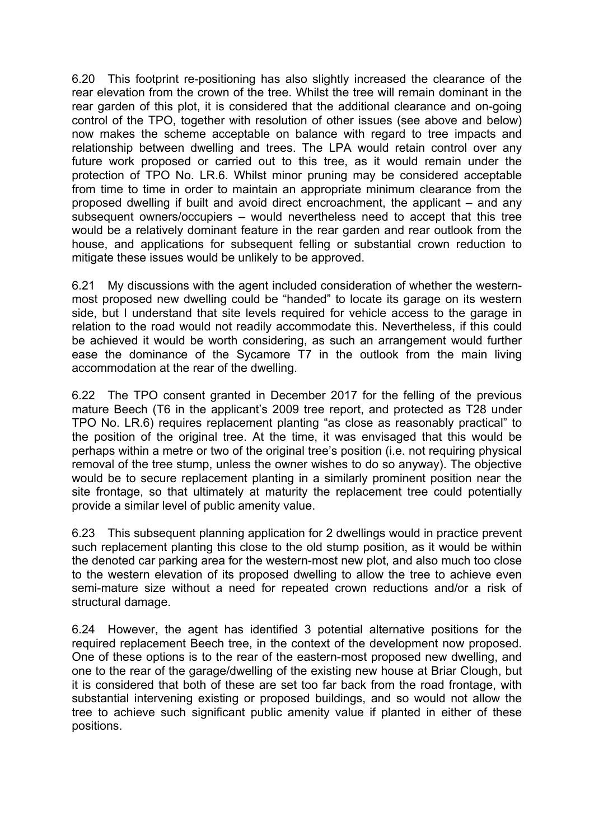6.20 This footprint re-positioning has also slightly increased the clearance of the rear elevation from the crown of the tree. Whilst the tree will remain dominant in the rear garden of this plot, it is considered that the additional clearance and on-going control of the TPO, together with resolution of other issues (see above and below) now makes the scheme acceptable on balance with regard to tree impacts and relationship between dwelling and trees. The LPA would retain control over any future work proposed or carried out to this tree, as it would remain under the protection of TPO No. LR.6. Whilst minor pruning may be considered acceptable from time to time in order to maintain an appropriate minimum clearance from the proposed dwelling if built and avoid direct encroachment, the applicant – and any subsequent owners/occupiers – would nevertheless need to accept that this tree would be a relatively dominant feature in the rear garden and rear outlook from the house, and applications for subsequent felling or substantial crown reduction to mitigate these issues would be unlikely to be approved.

6.21 My discussions with the agent included consideration of whether the westernmost proposed new dwelling could be "handed" to locate its garage on its western side, but I understand that site levels required for vehicle access to the garage in relation to the road would not readily accommodate this. Nevertheless, if this could be achieved it would be worth considering, as such an arrangement would further ease the dominance of the Sycamore T7 in the outlook from the main living accommodation at the rear of the dwelling.

6.22 The TPO consent granted in December 2017 for the felling of the previous mature Beech (T6 in the applicant's 2009 tree report, and protected as T28 under TPO No. LR.6) requires replacement planting "as close as reasonably practical" to the position of the original tree. At the time, it was envisaged that this would be perhaps within a metre or two of the original tree's position (i.e. not requiring physical removal of the tree stump, unless the owner wishes to do so anyway). The objective would be to secure replacement planting in a similarly prominent position near the site frontage, so that ultimately at maturity the replacement tree could potentially provide a similar level of public amenity value.

6.23 This subsequent planning application for 2 dwellings would in practice prevent such replacement planting this close to the old stump position, as it would be within the denoted car parking area for the western-most new plot, and also much too close to the western elevation of its proposed dwelling to allow the tree to achieve even semi-mature size without a need for repeated crown reductions and/or a risk of structural damage.

6.24 However, the agent has identified 3 potential alternative positions for the required replacement Beech tree, in the context of the development now proposed. One of these options is to the rear of the eastern-most proposed new dwelling, and one to the rear of the garage/dwelling of the existing new house at Briar Clough, but it is considered that both of these are set too far back from the road frontage, with substantial intervening existing or proposed buildings, and so would not allow the tree to achieve such significant public amenity value if planted in either of these positions.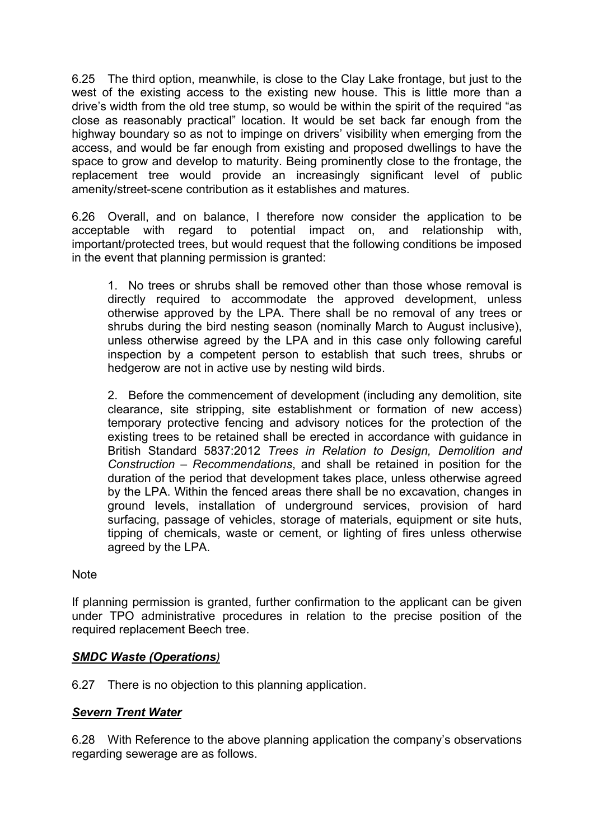6.25 The third option, meanwhile, is close to the Clay Lake frontage, but just to the west of the existing access to the existing new house. This is little more than a drive's width from the old tree stump, so would be within the spirit of the required "as close as reasonably practical" location. It would be set back far enough from the highway boundary so as not to impinge on drivers' visibility when emerging from the access, and would be far enough from existing and proposed dwellings to have the space to grow and develop to maturity. Being prominently close to the frontage, the replacement tree would provide an increasingly significant level of public amenity/street-scene contribution as it establishes and matures.

6.26 Overall, and on balance, I therefore now consider the application to be acceptable with regard to potential impact on, and relationship with, important/protected trees, but would request that the following conditions be imposed in the event that planning permission is granted:

1. No trees or shrubs shall be removed other than those whose removal is directly required to accommodate the approved development, unless otherwise approved by the LPA. There shall be no removal of any trees or shrubs during the bird nesting season (nominally March to August inclusive), unless otherwise agreed by the LPA and in this case only following careful inspection by a competent person to establish that such trees, shrubs or hedgerow are not in active use by nesting wild birds.

2. Before the commencement of development (including any demolition, site clearance, site stripping, site establishment or formation of new access) temporary protective fencing and advisory notices for the protection of the existing trees to be retained shall be erected in accordance with guidance in British Standard 5837:2012 *Trees in Relation to Design, Demolition and Construction – Recommendations*, and shall be retained in position for the duration of the period that development takes place, unless otherwise agreed by the LPA. Within the fenced areas there shall be no excavation, changes in ground levels, installation of underground services, provision of hard surfacing, passage of vehicles, storage of materials, equipment or site huts, tipping of chemicals, waste or cement, or lighting of fires unless otherwise agreed by the LPA.

### **Note**

If planning permission is granted, further confirmation to the applicant can be given under TPO administrative procedures in relation to the precise position of the required replacement Beech tree.

### *SMDC Waste (Operations)*

6.27 There is no objection to this planning application.

## *Severn Trent Water*

6.28 With Reference to the above planning application the company's observations regarding sewerage are as follows.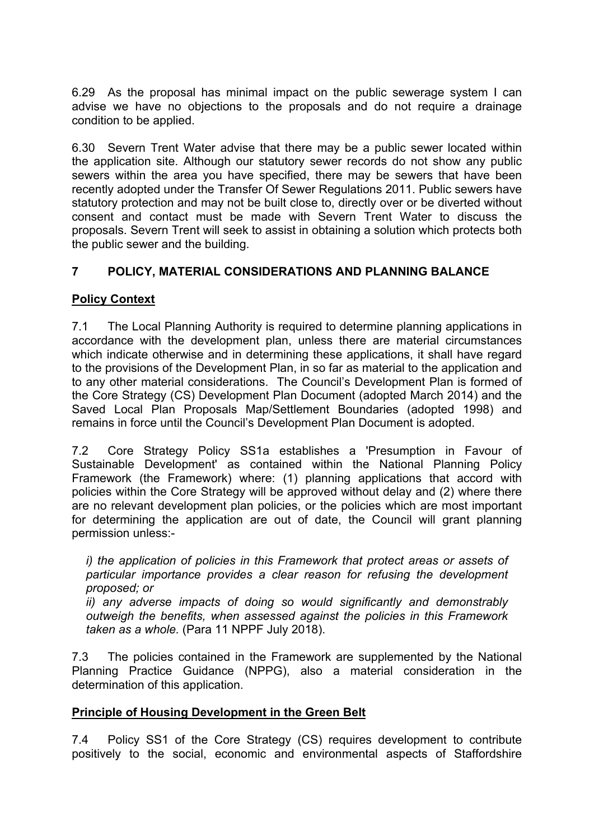6.29 As the proposal has minimal impact on the public sewerage system I can advise we have no objections to the proposals and do not require a drainage condition to be applied.

6.30 Severn Trent Water advise that there may be a public sewer located within the application site. Although our statutory sewer records do not show any public sewers within the area you have specified, there may be sewers that have been recently adopted under the Transfer Of Sewer Regulations 2011. Public sewers have statutory protection and may not be built close to, directly over or be diverted without consent and contact must be made with Severn Trent Water to discuss the proposals. Severn Trent will seek to assist in obtaining a solution which protects both the public sewer and the building.

## **7 POLICY, MATERIAL CONSIDERATIONS AND PLANNING BALANCE**

## **Policy Context**

7.1 The Local Planning Authority is required to determine planning applications in accordance with the development plan, unless there are material circumstances which indicate otherwise and in determining these applications, it shall have regard to the provisions of the Development Plan, in so far as material to the application and to any other material considerations. The Council's Development Plan is formed of the Core Strategy (CS) Development Plan Document (adopted March 2014) and the Saved Local Plan Proposals Map/Settlement Boundaries (adopted 1998) and remains in force until the Council's Development Plan Document is adopted.

7.2 Core Strategy Policy SS1a establishes a 'Presumption in Favour of Sustainable Development' as contained within the National Planning Policy Framework (the Framework) where: (1) planning applications that accord with policies within the Core Strategy will be approved without delay and (2) where there are no relevant development plan policies, or the policies which are most important for determining the application are out of date, the Council will grant planning permission unless:-

*i) the application of policies in this Framework that protect areas or assets of particular importance provides a clear reason for refusing the development proposed; or*

*ii) any adverse impacts of doing so would significantly and demonstrably outweigh the benefits, when assessed against the policies in this Framework taken as a whole.* (Para 11 NPPF July 2018).

7.3 The policies contained in the Framework are supplemented by the National Planning Practice Guidance (NPPG), also a material consideration in the determination of this application.

## **Principle of Housing Development in the Green Belt**

7.4 Policy SS1 of the Core Strategy (CS) requires development to contribute positively to the social, economic and environmental aspects of Staffordshire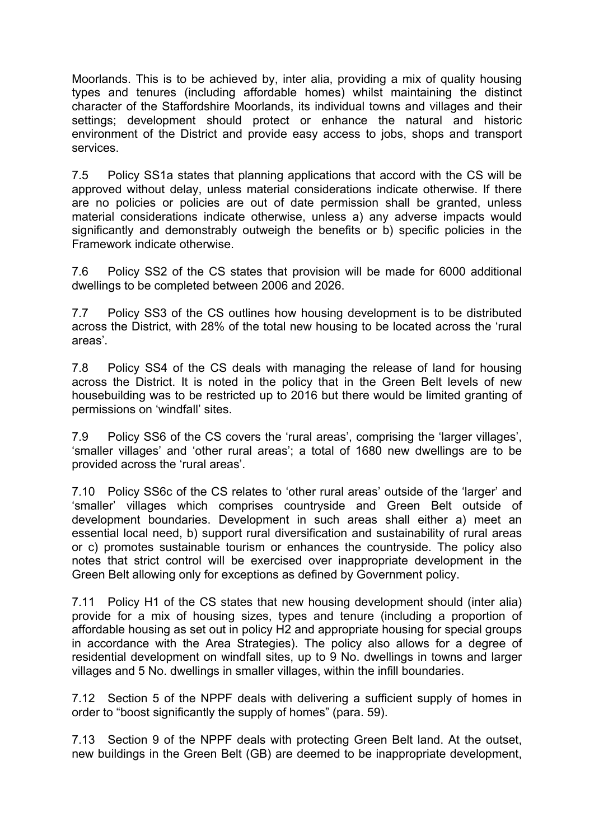Moorlands. This is to be achieved by, inter alia, providing a mix of quality housing types and tenures (including affordable homes) whilst maintaining the distinct character of the Staffordshire Moorlands, its individual towns and villages and their settings; development should protect or enhance the natural and historic environment of the District and provide easy access to jobs, shops and transport services.

7.5 Policy SS1a states that planning applications that accord with the CS will be approved without delay, unless material considerations indicate otherwise. If there are no policies or policies are out of date permission shall be granted, unless material considerations indicate otherwise, unless a) any adverse impacts would significantly and demonstrably outweigh the benefits or b) specific policies in the Framework indicate otherwise.

7.6 Policy SS2 of the CS states that provision will be made for 6000 additional dwellings to be completed between 2006 and 2026.

7.7 Policy SS3 of the CS outlines how housing development is to be distributed across the District, with 28% of the total new housing to be located across the 'rural areas'.

7.8 Policy SS4 of the CS deals with managing the release of land for housing across the District. It is noted in the policy that in the Green Belt levels of new housebuilding was to be restricted up to 2016 but there would be limited granting of permissions on 'windfall' sites.

7.9 Policy SS6 of the CS covers the 'rural areas', comprising the 'larger villages', 'smaller villages' and 'other rural areas'; a total of 1680 new dwellings are to be provided across the 'rural areas'.

7.10 Policy SS6c of the CS relates to 'other rural areas' outside of the 'larger' and 'smaller' villages which comprises countryside and Green Belt outside of development boundaries. Development in such areas shall either a) meet an essential local need, b) support rural diversification and sustainability of rural areas or c) promotes sustainable tourism or enhances the countryside. The policy also notes that strict control will be exercised over inappropriate development in the Green Belt allowing only for exceptions as defined by Government policy.

7.11 Policy H1 of the CS states that new housing development should (inter alia) provide for a mix of housing sizes, types and tenure (including a proportion of affordable housing as set out in policy H2 and appropriate housing for special groups in accordance with the Area Strategies). The policy also allows for a degree of residential development on windfall sites, up to 9 No. dwellings in towns and larger villages and 5 No. dwellings in smaller villages, within the infill boundaries.

7.12 Section 5 of the NPPF deals with delivering a sufficient supply of homes in order to "boost significantly the supply of homes" (para. 59).

7.13 Section 9 of the NPPF deals with protecting Green Belt land. At the outset, new buildings in the Green Belt (GB) are deemed to be inappropriate development,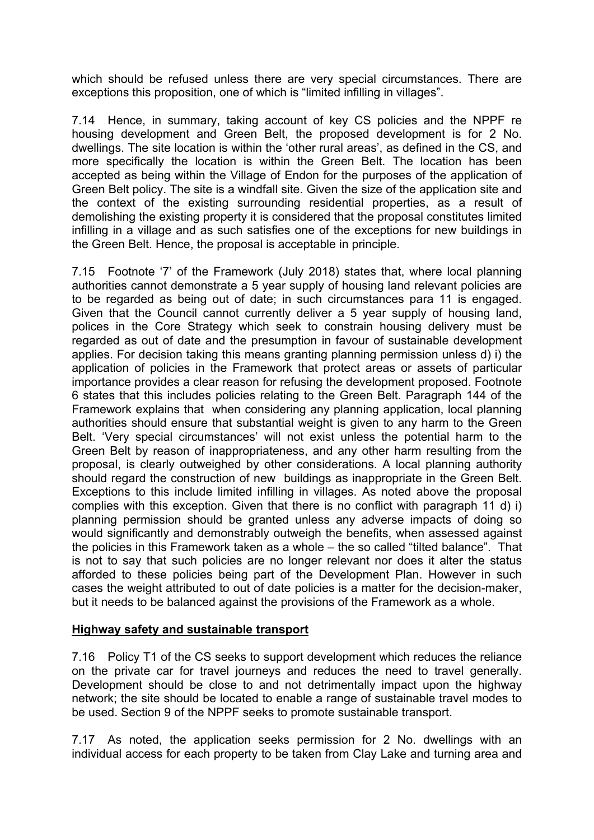which should be refused unless there are very special circumstances. There are exceptions this proposition, one of which is "limited infilling in villages".

7.14 Hence, in summary, taking account of key CS policies and the NPPF re housing development and Green Belt, the proposed development is for 2 No. dwellings. The site location is within the 'other rural areas', as defined in the CS, and more specifically the location is within the Green Belt. The location has been accepted as being within the Village of Endon for the purposes of the application of Green Belt policy. The site is a windfall site. Given the size of the application site and the context of the existing surrounding residential properties, as a result of demolishing the existing property it is considered that the proposal constitutes limited infilling in a village and as such satisfies one of the exceptions for new buildings in the Green Belt. Hence, the proposal is acceptable in principle.

7.15 Footnote '7' of the Framework (July 2018) states that, where local planning authorities cannot demonstrate a 5 year supply of housing land relevant policies are to be regarded as being out of date; in such circumstances para 11 is engaged. Given that the Council cannot currently deliver a 5 year supply of housing land, polices in the Core Strategy which seek to constrain housing delivery must be regarded as out of date and the presumption in favour of sustainable development applies. For decision taking this means granting planning permission unless d) i) the application of policies in the Framework that protect areas or assets of particular importance provides a clear reason for refusing the development proposed. Footnote 6 states that this includes policies relating to the Green Belt. Paragraph 144 of the Framework explains that when considering any planning application, local planning authorities should ensure that substantial weight is given to any harm to the Green Belt. 'Very special circumstances' will not exist unless the potential harm to the Green Belt by reason of inappropriateness, and any other harm resulting from the proposal, is clearly outweighed by other considerations. A local planning authority should regard the construction of new buildings as inappropriate in the Green Belt. Exceptions to this include limited infilling in villages. As noted above the proposal complies with this exception. Given that there is no conflict with paragraph 11 d) i) planning permission should be granted unless any adverse impacts of doing so would significantly and demonstrably outweigh the benefits, when assessed against the policies in this Framework taken as a whole – the so called "tilted balance". That is not to say that such policies are no longer relevant nor does it alter the status afforded to these policies being part of the Development Plan. However in such cases the weight attributed to out of date policies is a matter for the decision-maker, but it needs to be balanced against the provisions of the Framework as a whole.

### **Highway safety and sustainable transport**

7.16 Policy T1 of the CS seeks to support development which reduces the reliance on the private car for travel journeys and reduces the need to travel generally. Development should be close to and not detrimentally impact upon the highway network; the site should be located to enable a range of sustainable travel modes to be used. Section 9 of the NPPF seeks to promote sustainable transport.

7.17 As noted, the application seeks permission for 2 No. dwellings with an individual access for each property to be taken from Clay Lake and turning area and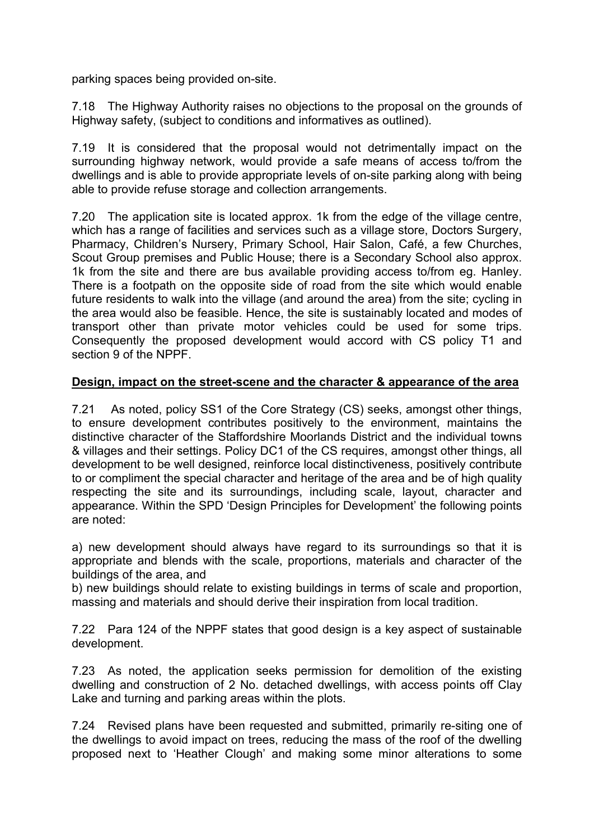parking spaces being provided on-site.

7.18 The Highway Authority raises no objections to the proposal on the grounds of Highway safety, (subject to conditions and informatives as outlined).

7.19 It is considered that the proposal would not detrimentally impact on the surrounding highway network, would provide a safe means of access to/from the dwellings and is able to provide appropriate levels of on-site parking along with being able to provide refuse storage and collection arrangements.

7.20 The application site is located approx. 1k from the edge of the village centre, which has a range of facilities and services such as a village store, Doctors Surgery, Pharmacy, Children's Nursery, Primary School, Hair Salon, Café, a few Churches, Scout Group premises and Public House; there is a Secondary School also approx. 1k from the site and there are bus available providing access to/from eg. Hanley. There is a footpath on the opposite side of road from the site which would enable future residents to walk into the village (and around the area) from the site; cycling in the area would also be feasible. Hence, the site is sustainably located and modes of transport other than private motor vehicles could be used for some trips. Consequently the proposed development would accord with CS policy T1 and section 9 of the NPPF.

### **Design, impact on the street-scene and the character & appearance of the area**

7.21 As noted, policy SS1 of the Core Strategy (CS) seeks, amongst other things, to ensure development contributes positively to the environment, maintains the distinctive character of the Staffordshire Moorlands District and the individual towns & villages and their settings. Policy DC1 of the CS requires, amongst other things, all development to be well designed, reinforce local distinctiveness, positively contribute to or compliment the special character and heritage of the area and be of high quality respecting the site and its surroundings, including scale, layout, character and appearance. Within the SPD 'Design Principles for Development' the following points are noted:

a) new development should always have regard to its surroundings so that it is appropriate and blends with the scale, proportions, materials and character of the buildings of the area, and

b) new buildings should relate to existing buildings in terms of scale and proportion, massing and materials and should derive their inspiration from local tradition.

7.22 Para 124 of the NPPF states that good design is a key aspect of sustainable development.

7.23 As noted, the application seeks permission for demolition of the existing dwelling and construction of 2 No. detached dwellings, with access points off Clay Lake and turning and parking areas within the plots.

7.24 Revised plans have been requested and submitted, primarily re-siting one of the dwellings to avoid impact on trees, reducing the mass of the roof of the dwelling proposed next to 'Heather Clough' and making some minor alterations to some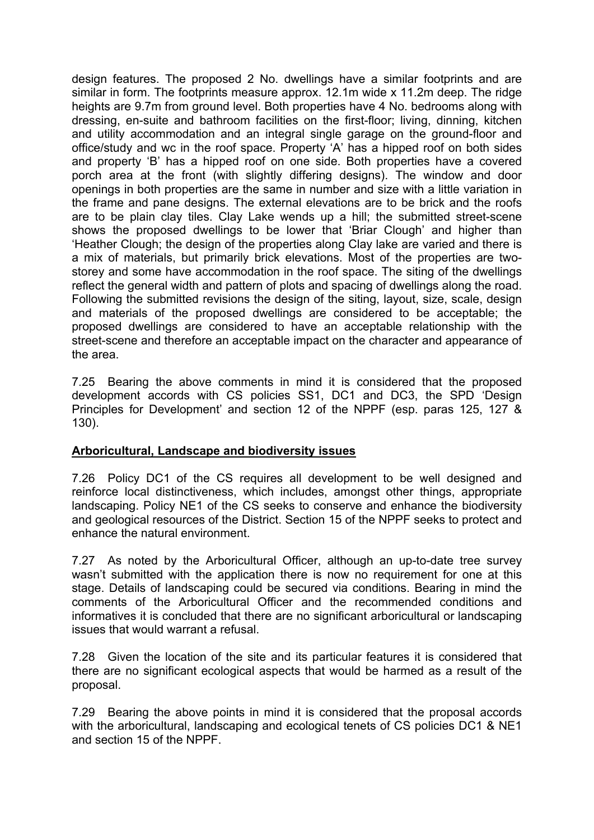design features. The proposed 2 No. dwellings have a similar footprints and are similar in form. The footprints measure approx. 12.1m wide x 11.2m deep. The ridge heights are 9.7m from ground level. Both properties have 4 No. bedrooms along with dressing, en-suite and bathroom facilities on the first-floor; living, dinning, kitchen and utility accommodation and an integral single garage on the ground-floor and office/study and wc in the roof space. Property 'A' has a hipped roof on both sides and property 'B' has a hipped roof on one side. Both properties have a covered porch area at the front (with slightly differing designs). The window and door openings in both properties are the same in number and size with a little variation in the frame and pane designs. The external elevations are to be brick and the roofs are to be plain clay tiles. Clay Lake wends up a hill; the submitted street-scene shows the proposed dwellings to be lower that 'Briar Clough' and higher than 'Heather Clough; the design of the properties along Clay lake are varied and there is a mix of materials, but primarily brick elevations. Most of the properties are twostorey and some have accommodation in the roof space. The siting of the dwellings reflect the general width and pattern of plots and spacing of dwellings along the road. Following the submitted revisions the design of the siting, layout, size, scale, design and materials of the proposed dwellings are considered to be acceptable; the proposed dwellings are considered to have an acceptable relationship with the street-scene and therefore an acceptable impact on the character and appearance of the area.

7.25 Bearing the above comments in mind it is considered that the proposed development accords with CS policies SS1, DC1 and DC3, the SPD 'Design Principles for Development' and section 12 of the NPPF (esp. paras 125, 127 & 130).

### **Arboricultural, Landscape and biodiversity issues**

7.26 Policy DC1 of the CS requires all development to be well designed and reinforce local distinctiveness, which includes, amongst other things, appropriate landscaping. Policy NE1 of the CS seeks to conserve and enhance the biodiversity and geological resources of the District. Section 15 of the NPPF seeks to protect and enhance the natural environment.

7.27 As noted by the Arboricultural Officer, although an up-to-date tree survey wasn't submitted with the application there is now no requirement for one at this stage. Details of landscaping could be secured via conditions. Bearing in mind the comments of the Arboricultural Officer and the recommended conditions and informatives it is concluded that there are no significant arboricultural or landscaping issues that would warrant a refusal.

7.28 Given the location of the site and its particular features it is considered that there are no significant ecological aspects that would be harmed as a result of the proposal.

7.29 Bearing the above points in mind it is considered that the proposal accords with the arboricultural, landscaping and ecological tenets of CS policies DC1 & NE1 and section 15 of the NPPF.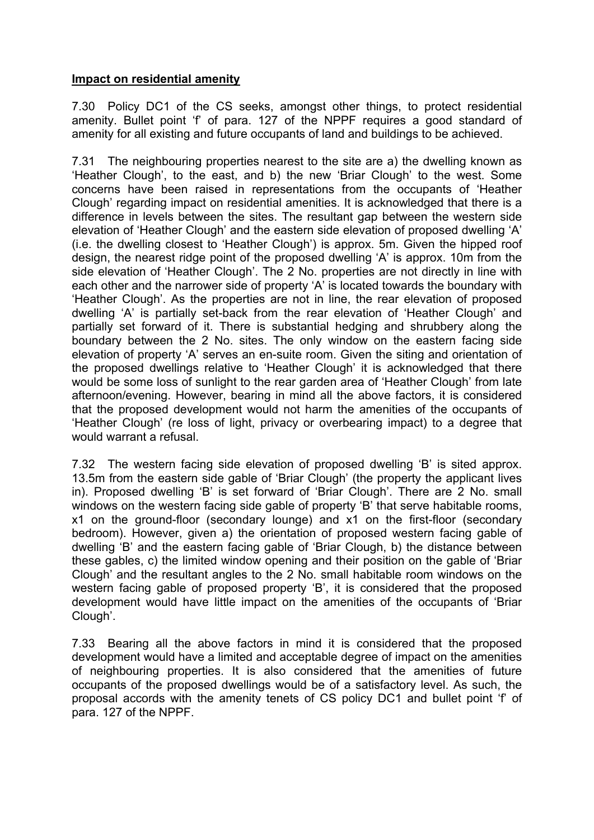### **Impact on residential amenity**

7.30 Policy DC1 of the CS seeks, amongst other things, to protect residential amenity. Bullet point 'f' of para. 127 of the NPPF requires a good standard of amenity for all existing and future occupants of land and buildings to be achieved.

7.31 The neighbouring properties nearest to the site are a) the dwelling known as 'Heather Clough', to the east, and b) the new 'Briar Clough' to the west. Some concerns have been raised in representations from the occupants of 'Heather Clough' regarding impact on residential amenities. It is acknowledged that there is a difference in levels between the sites. The resultant gap between the western side elevation of 'Heather Clough' and the eastern side elevation of proposed dwelling 'A' (i.e. the dwelling closest to 'Heather Clough') is approx. 5m. Given the hipped roof design, the nearest ridge point of the proposed dwelling 'A' is approx. 10m from the side elevation of 'Heather Clough'. The 2 No. properties are not directly in line with each other and the narrower side of property 'A' is located towards the boundary with 'Heather Clough'. As the properties are not in line, the rear elevation of proposed dwelling 'A' is partially set-back from the rear elevation of 'Heather Clough' and partially set forward of it. There is substantial hedging and shrubbery along the boundary between the 2 No. sites. The only window on the eastern facing side elevation of property 'A' serves an en-suite room. Given the siting and orientation of the proposed dwellings relative to 'Heather Clough' it is acknowledged that there would be some loss of sunlight to the rear garden area of 'Heather Clough' from late afternoon/evening. However, bearing in mind all the above factors, it is considered that the proposed development would not harm the amenities of the occupants of 'Heather Clough' (re loss of light, privacy or overbearing impact) to a degree that would warrant a refusal.

7.32 The western facing side elevation of proposed dwelling 'B' is sited approx. 13.5m from the eastern side gable of 'Briar Clough' (the property the applicant lives in). Proposed dwelling 'B' is set forward of 'Briar Clough'. There are 2 No. small windows on the western facing side gable of property 'B' that serve habitable rooms, x1 on the ground-floor (secondary lounge) and x1 on the first-floor (secondary bedroom). However, given a) the orientation of proposed western facing gable of dwelling 'B' and the eastern facing gable of 'Briar Clough, b) the distance between these gables, c) the limited window opening and their position on the gable of 'Briar Clough' and the resultant angles to the 2 No. small habitable room windows on the western facing gable of proposed property 'B', it is considered that the proposed development would have little impact on the amenities of the occupants of 'Briar Clough'.

7.33 Bearing all the above factors in mind it is considered that the proposed development would have a limited and acceptable degree of impact on the amenities of neighbouring properties. It is also considered that the amenities of future occupants of the proposed dwellings would be of a satisfactory level. As such, the proposal accords with the amenity tenets of CS policy DC1 and bullet point 'f' of para. 127 of the NPPF.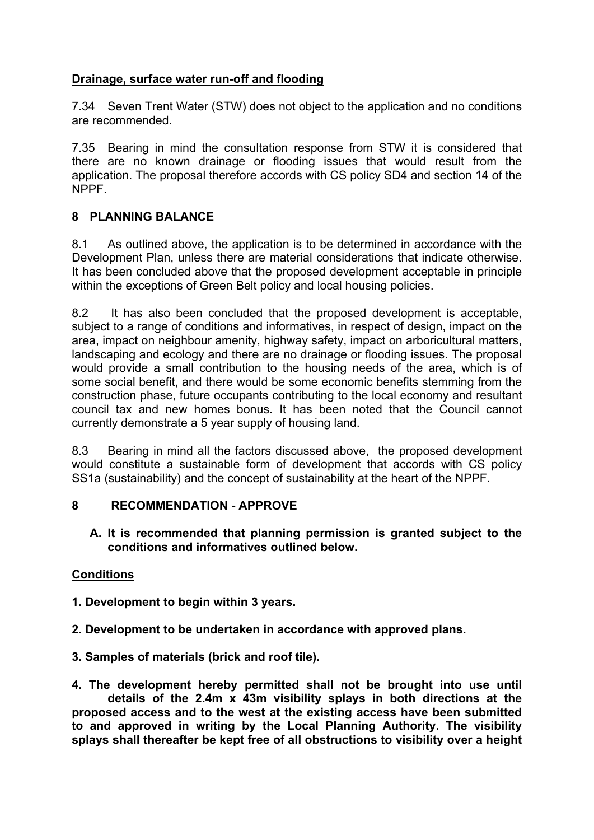## **Drainage, surface water run-off and flooding**

7.34 Seven Trent Water (STW) does not object to the application and no conditions are recommended.

7.35 Bearing in mind the consultation response from STW it is considered that there are no known drainage or flooding issues that would result from the application. The proposal therefore accords with CS policy SD4 and section 14 of the NPPF.

# **8 PLANNING BALANCE**

8.1 As outlined above, the application is to be determined in accordance with the Development Plan, unless there are material considerations that indicate otherwise. It has been concluded above that the proposed development acceptable in principle within the exceptions of Green Belt policy and local housing policies.

8.2 It has also been concluded that the proposed development is acceptable, subject to a range of conditions and informatives, in respect of design, impact on the area, impact on neighbour amenity, highway safety, impact on arboricultural matters, landscaping and ecology and there are no drainage or flooding issues. The proposal would provide a small contribution to the housing needs of the area, which is of some social benefit, and there would be some economic benefits stemming from the construction phase, future occupants contributing to the local economy and resultant council tax and new homes bonus. It has been noted that the Council cannot currently demonstrate a 5 year supply of housing land.

8.3 Bearing in mind all the factors discussed above, the proposed development would constitute a sustainable form of development that accords with CS policy SS1a (sustainability) and the concept of sustainability at the heart of the NPPF.

## **8 RECOMMENDATION - APPROVE**

**A. It is recommended that planning permission is granted subject to the conditions and informatives outlined below.**

## **Conditions**

- **1. Development to begin within 3 years.**
- **2. Development to be undertaken in accordance with approved plans.**
- **3. Samples of materials (brick and roof tile).**

**4. The development hereby permitted shall not be brought into use until details of the 2.4m x 43m visibility splays in both directions at the proposed access and to the west at the existing access have been submitted to and approved in writing by the Local Planning Authority. The visibility splays shall thereafter be kept free of all obstructions to visibility over a height**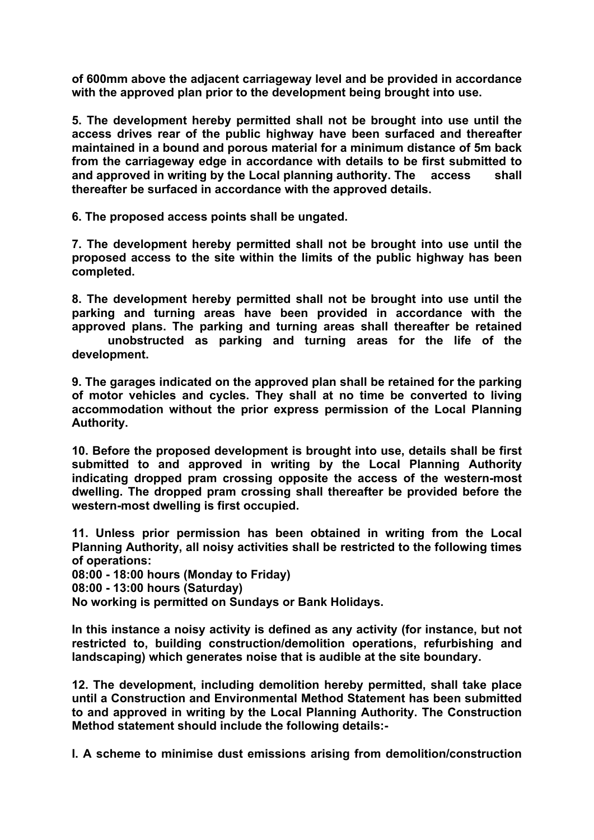**of 600mm above the adjacent carriageway level and be provided in accordance with the approved plan prior to the development being brought into use.**

**5. The development hereby permitted shall not be brought into use until the access drives rear of the public highway have been surfaced and thereafter maintained in a bound and porous material for a minimum distance of 5m back from the carriageway edge in accordance with details to be first submitted to and approved in writing by the Local planning authority. The access shall thereafter be surfaced in accordance with the approved details.**

**6. The proposed access points shall be ungated.**

**7. The development hereby permitted shall not be brought into use until the proposed access to the site within the limits of the public highway has been completed.**

**8. The development hereby permitted shall not be brought into use until the parking and turning areas have been provided in accordance with the approved plans. The parking and turning areas shall thereafter be retained unobstructed as parking and turning areas for the life of the development.**

**9. The garages indicated on the approved plan shall be retained for the parking of motor vehicles and cycles. They shall at no time be converted to living accommodation without the prior express permission of the Local Planning Authority.**

**10. Before the proposed development is brought into use, details shall be first submitted to and approved in writing by the Local Planning Authority indicating dropped pram crossing opposite the access of the western-most dwelling. The dropped pram crossing shall thereafter be provided before the western-most dwelling is first occupied.**

**11. Unless prior permission has been obtained in writing from the Local Planning Authority, all noisy activities shall be restricted to the following times of operations:**

**08:00 - 18:00 hours (Monday to Friday)**

**08:00 - 13:00 hours (Saturday)**

**No working is permitted on Sundays or Bank Holidays.**

**In this instance a noisy activity is defined as any activity (for instance, but not restricted to, building construction/demolition operations, refurbishing and landscaping) which generates noise that is audible at the site boundary.**

**12. The development, including demolition hereby permitted, shall take place until a Construction and Environmental Method Statement has been submitted to and approved in writing by the Local Planning Authority. The Construction Method statement should include the following details:-**

**I. A scheme to minimise dust emissions arising from demolition/construction**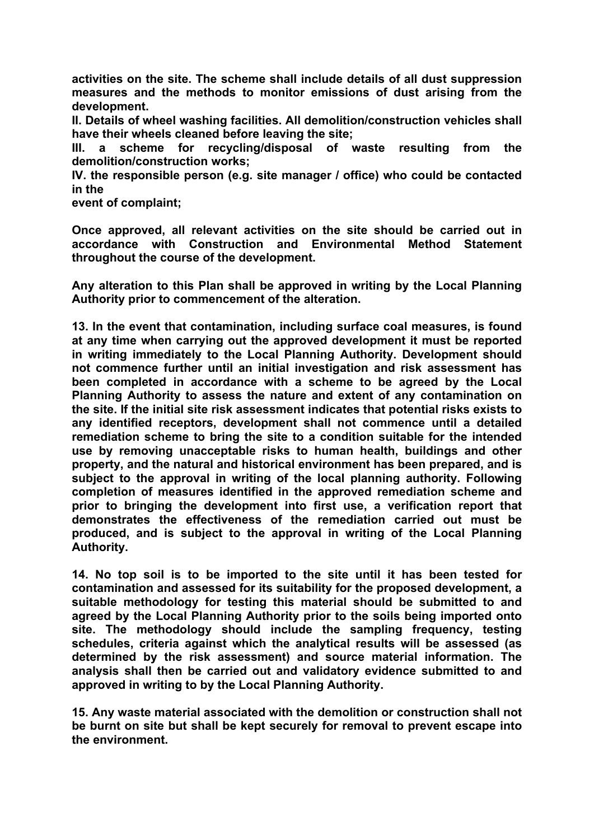**activities on the site. The scheme shall include details of all dust suppression measures and the methods to monitor emissions of dust arising from the development.**

**II. Details of wheel washing facilities. All demolition/construction vehicles shall have their wheels cleaned before leaving the site;**

**III. a scheme for recycling/disposal of waste resulting from the demolition/construction works;**

**IV. the responsible person (e.g. site manager / office) who could be contacted in the**

**event of complaint;**

**Once approved, all relevant activities on the site should be carried out in accordance with Construction and Environmental Method Statement throughout the course of the development.**

**Any alteration to this Plan shall be approved in writing by the Local Planning Authority prior to commencement of the alteration.**

**13. In the event that contamination, including surface coal measures, is found at any time when carrying out the approved development it must be reported in writing immediately to the Local Planning Authority. Development should not commence further until an initial investigation and risk assessment has been completed in accordance with a scheme to be agreed by the Local Planning Authority to assess the nature and extent of any contamination on the site. If the initial site risk assessment indicates that potential risks exists to any identified receptors, development shall not commence until a detailed remediation scheme to bring the site to a condition suitable for the intended use by removing unacceptable risks to human health, buildings and other property, and the natural and historical environment has been prepared, and is subject to the approval in writing of the local planning authority. Following completion of measures identified in the approved remediation scheme and prior to bringing the development into first use, a verification report that demonstrates the effectiveness of the remediation carried out must be produced, and is subject to the approval in writing of the Local Planning Authority.**

**14. No top soil is to be imported to the site until it has been tested for contamination and assessed for its suitability for the proposed development, a suitable methodology for testing this material should be submitted to and agreed by the Local Planning Authority prior to the soils being imported onto site. The methodology should include the sampling frequency, testing schedules, criteria against which the analytical results will be assessed (as determined by the risk assessment) and source material information. The analysis shall then be carried out and validatory evidence submitted to and approved in writing to by the Local Planning Authority.**

**15. Any waste material associated with the demolition or construction shall not be burnt on site but shall be kept securely for removal to prevent escape into the environment.**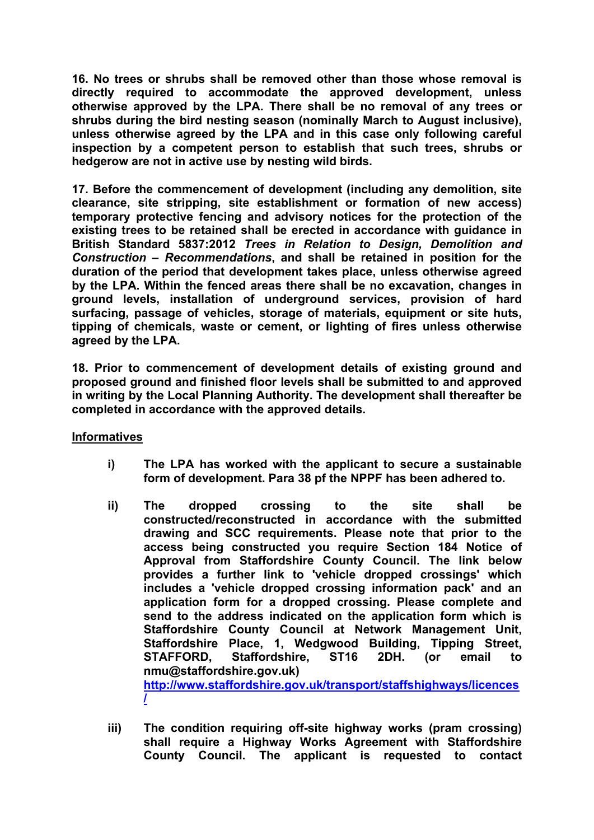**16. No trees or shrubs shall be removed other than those whose removal is directly required to accommodate the approved development, unless otherwise approved by the LPA. There shall be no removal of any trees or shrubs during the bird nesting season (nominally March to August inclusive), unless otherwise agreed by the LPA and in this case only following careful inspection by a competent person to establish that such trees, shrubs or hedgerow are not in active use by nesting wild birds.**

**17. Before the commencement of development (including any demolition, site clearance, site stripping, site establishment or formation of new access) temporary protective fencing and advisory notices for the protection of the existing trees to be retained shall be erected in accordance with guidance in British Standard 5837:2012** *Trees in Relation to Design, Demolition and Construction – Recommendations***, and shall be retained in position for the duration of the period that development takes place, unless otherwise agreed by the LPA. Within the fenced areas there shall be no excavation, changes in ground levels, installation of underground services, provision of hard surfacing, passage of vehicles, storage of materials, equipment or site huts, tipping of chemicals, waste or cement, or lighting of fires unless otherwise agreed by the LPA.**

**18. Prior to commencement of development details of existing ground and proposed ground and finished floor levels shall be submitted to and approved in writing by the Local Planning Authority. The development shall thereafter be completed in accordance with the approved details.**

### **Informatives**

- **i) The LPA has worked with the applicant to secure a sustainable form of development. Para 38 pf the NPPF has been adhered to.**
- **ii) The dropped crossing to the site shall be constructed/reconstructed in accordance with the submitted drawing and SCC requirements. Please note that prior to the access being constructed you require Section 184 Notice of Approval from Staffordshire County Council. The link below provides a further link to 'vehicle dropped crossings' which includes a 'vehicle dropped crossing information pack' and an application form for a dropped crossing. Please complete and send to the address indicated on the application form which is Staffordshire County Council at Network Management Unit, Staffordshire Place, 1, Wedgwood Building, Tipping Street, STAFFORD, Staffordshire, ST16 2DH. (or email to nmu@staffordshire.gov.uk) [http://www.staffordshire.gov.uk/transport/staffshighways/licences](http://www.staffordshire.gov.uk/transport/staffshighways/licences/) [/](http://www.staffordshire.gov.uk/transport/staffshighways/licences/)**
- **iii) The condition requiring off-site highway works (pram crossing) shall require a Highway Works Agreement with Staffordshire County Council. The applicant is requested to contact**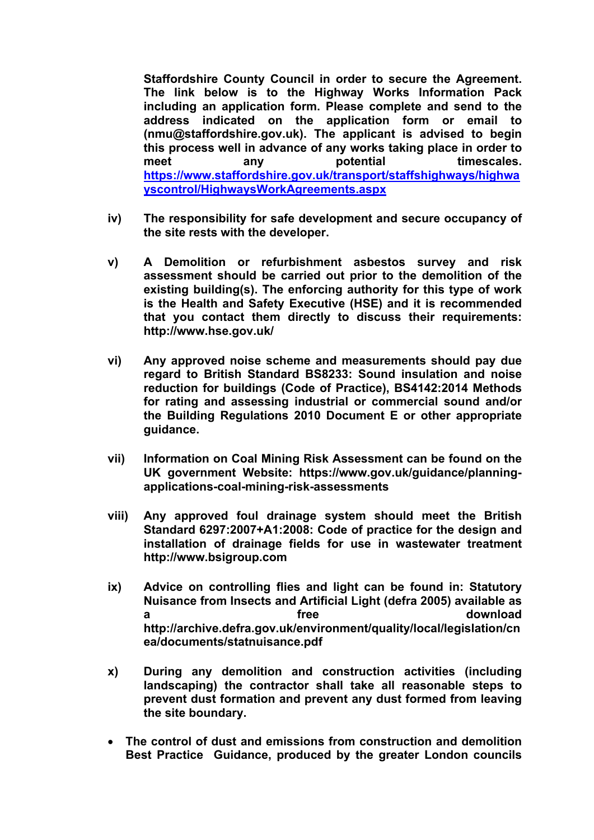**Staffordshire County Council in order to secure the Agreement. The link below is to the Highway Works Information Pack including an application form. Please complete and send to the address indicated on the application form or email to (nmu@staffordshire.gov.uk). The applicant is advised to begin this process well in advance of any works taking place in order to meet any potential timescales. [https://www.staffordshire.gov.uk/transport/staffshighways/highwa](https://www.staffordshire.gov.uk/transport/staffshighways/highwayscontrol/HighwaysWorkAgreements.aspx) [yscontrol/HighwaysWorkAgreements.aspx](https://www.staffordshire.gov.uk/transport/staffshighways/highwayscontrol/HighwaysWorkAgreements.aspx)**

- **iv) The responsibility for safe development and secure occupancy of the site rests with the developer.**
- **v) A Demolition or refurbishment asbestos survey and risk assessment should be carried out prior to the demolition of the existing building(s). The enforcing authority for this type of work is the Health and Safety Executive (HSE) and it is recommended that you contact them directly to discuss their requirements: http://www.hse.gov.uk/**
- **vi) Any approved noise scheme and measurements should pay due regard to British Standard BS8233: Sound insulation and noise reduction for buildings (Code of Practice), BS4142:2014 Methods for rating and assessing industrial or commercial sound and/or the Building Regulations 2010 Document E or other appropriate guidance.**
- **vii) Information on Coal Mining Risk Assessment can be found on the UK government Website: https://www.gov.uk/guidance/planningapplications-coal-mining-risk-assessments**
- **viii) Any approved foul drainage system should meet the British Standard 6297:2007+A1:2008: Code of practice for the design and installation of drainage fields for use in wastewater treatment http://www.bsigroup.com**
- **ix) Advice on controlling flies and light can be found in: Statutory Nuisance from Insects and Artificial Light (defra 2005) available as a free download http://archive.defra.gov.uk/environment/quality/local/legislation/cn ea/documents/statnuisance.pdf**
- **x) During any demolition and construction activities (including landscaping) the contractor shall take all reasonable steps to prevent dust formation and prevent any dust formed from leaving the site boundary.**
- **The control of dust and emissions from construction and demolition Best Practice Guidance, produced by the greater London councils**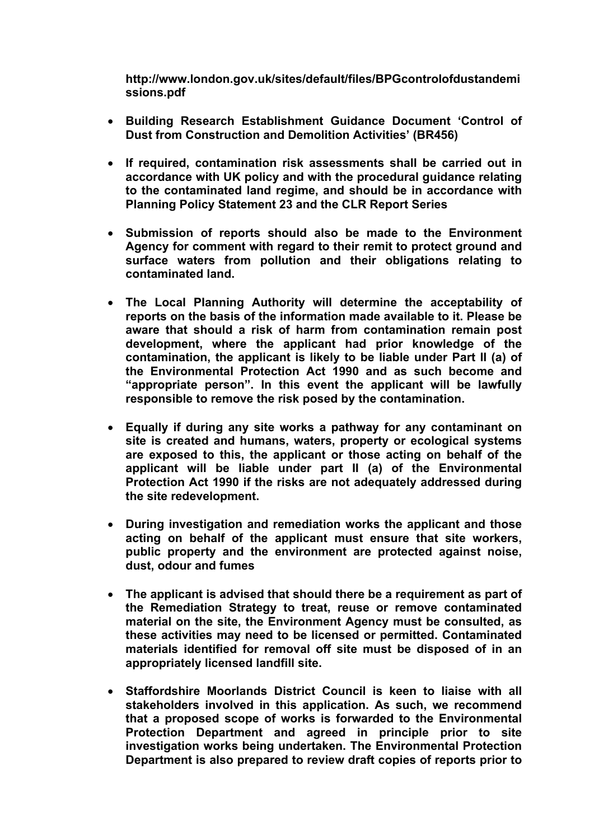**http://www.london.gov.uk/sites/default/files/BPGcontrolofdustandemi ssions.pdf**

- **Building Research Establishment Guidance Document 'Control of Dust from Construction and Demolition Activities' (BR456)**
- **If required, contamination risk assessments shall be carried out in accordance with UK policy and with the procedural guidance relating to the contaminated land regime, and should be in accordance with Planning Policy Statement 23 and the CLR Report Series**
- **Submission of reports should also be made to the Environment Agency for comment with regard to their remit to protect ground and surface waters from pollution and their obligations relating to contaminated land.**
- **The Local Planning Authority will determine the acceptability of reports on the basis of the information made available to it. Please be aware that should a risk of harm from contamination remain post development, where the applicant had prior knowledge of the contamination, the applicant is likely to be liable under Part II (a) of the Environmental Protection Act 1990 and as such become and "appropriate person". In this event the applicant will be lawfully responsible to remove the risk posed by the contamination.**
- **Equally if during any site works a pathway for any contaminant on site is created and humans, waters, property or ecological systems are exposed to this, the applicant or those acting on behalf of the applicant will be liable under part II (a) of the Environmental Protection Act 1990 if the risks are not adequately addressed during the site redevelopment.**
- **During investigation and remediation works the applicant and those acting on behalf of the applicant must ensure that site workers, public property and the environment are protected against noise, dust, odour and fumes**
- **The applicant is advised that should there be a requirement as part of the Remediation Strategy to treat, reuse or remove contaminated material on the site, the Environment Agency must be consulted, as these activities may need to be licensed or permitted. Contaminated materials identified for removal off site must be disposed of in an appropriately licensed landfill site.**
- **Staffordshire Moorlands District Council is keen to liaise with all stakeholders involved in this application. As such, we recommend that a proposed scope of works is forwarded to the Environmental Protection Department and agreed in principle prior to site investigation works being undertaken. The Environmental Protection Department is also prepared to review draft copies of reports prior to**